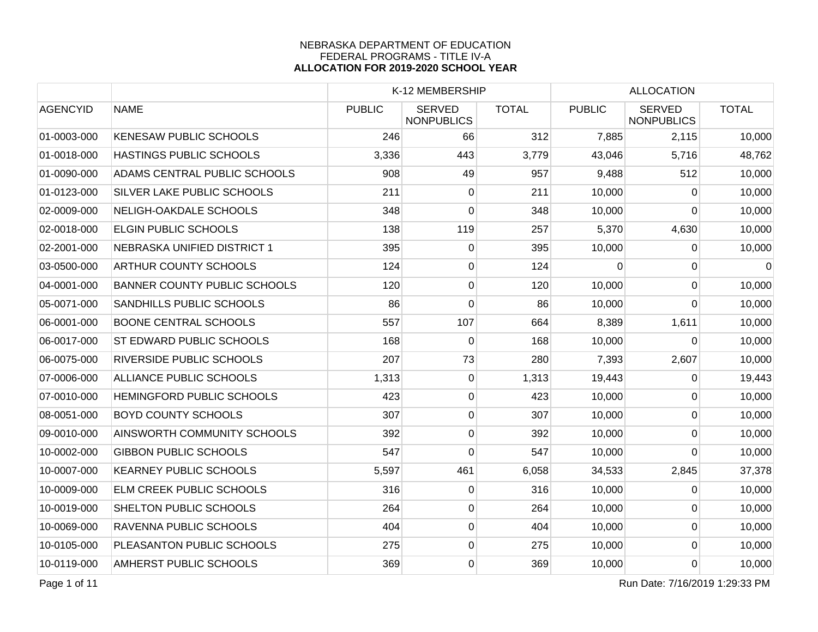|                 |                                     | K-12 MEMBERSHIP |                                    |              | <b>ALLOCATION</b> |                                    |              |
|-----------------|-------------------------------------|-----------------|------------------------------------|--------------|-------------------|------------------------------------|--------------|
| <b>AGENCYID</b> | <b>NAME</b>                         | <b>PUBLIC</b>   | <b>SERVED</b><br><b>NONPUBLICS</b> | <b>TOTAL</b> | <b>PUBLIC</b>     | <b>SERVED</b><br><b>NONPUBLICS</b> | <b>TOTAL</b> |
| 01-0003-000     | <b>KENESAW PUBLIC SCHOOLS</b>       | 246             | 66                                 | 312          | 7,885             | 2,115                              | 10,000       |
| 01-0018-000     | HASTINGS PUBLIC SCHOOLS             | 3,336           | 443                                | 3,779        | 43,046            | 5,716                              | 48,762       |
| 01-0090-000     | ADAMS CENTRAL PUBLIC SCHOOLS        | 908             | 49                                 | 957          | 9,488             | 512                                | 10,000       |
| 01-0123-000     | <b>SILVER LAKE PUBLIC SCHOOLS</b>   | 211             | 0                                  | 211          | 10,000            | $\Omega$                           | 10,000       |
| 02-0009-000     | NELIGH-OAKDALE SCHOOLS              | 348             | 0                                  | 348          | 10,000            | 0                                  | 10,000       |
| 02-0018-000     | <b>ELGIN PUBLIC SCHOOLS</b>         | 138             | 119                                | 257          | 5,370             | 4,630                              | 10,000       |
| 02-2001-000     | NEBRASKA UNIFIED DISTRICT 1         | 395             | $\overline{0}$                     | 395          | 10,000            | $\mathbf 0$                        | 10,000       |
| 03-0500-000     | <b>ARTHUR COUNTY SCHOOLS</b>        | 124             | $\overline{0}$                     | 124          | 0                 | 0                                  | $\mathbf 0$  |
| 04-0001-000     | <b>BANNER COUNTY PUBLIC SCHOOLS</b> | 120             | $\overline{0}$                     | 120          | 10,000            | $\Omega$                           | 10,000       |
| 05-0071-000     | <b>SANDHILLS PUBLIC SCHOOLS</b>     | 86              | 0                                  | 86           | 10,000            | 0                                  | 10,000       |
| 06-0001-000     | <b>BOONE CENTRAL SCHOOLS</b>        | 557             | 107                                | 664          | 8,389             | 1,611                              | 10,000       |
| 06-0017-000     | <b>ST EDWARD PUBLIC SCHOOLS</b>     | 168             | $\overline{0}$                     | 168          | 10,000            | 0                                  | 10,000       |
| 06-0075-000     | RIVERSIDE PUBLIC SCHOOLS            | 207             | 73                                 | 280          | 7,393             | 2,607                              | 10,000       |
| 07-0006-000     | ALLIANCE PUBLIC SCHOOLS             | 1,313           | 0                                  | 1,313        | 19,443            | $\Omega$                           | 19,443       |
| 07-0010-000     | HEMINGFORD PUBLIC SCHOOLS           | 423             | $\overline{0}$                     | 423          | 10,000            | $\Omega$                           | 10,000       |
| 08-0051-000     | <b>BOYD COUNTY SCHOOLS</b>          | 307             | $\overline{0}$                     | 307          | 10,000            | 0                                  | 10,000       |
| 09-0010-000     | AINSWORTH COMMUNITY SCHOOLS         | 392             | $\overline{0}$                     | 392          | 10,000            | $\mathbf 0$                        | 10,000       |
| 10-0002-000     | <b>GIBBON PUBLIC SCHOOLS</b>        | 547             | $\overline{0}$                     | 547          | 10,000            | $\overline{0}$                     | 10,000       |
| 10-0007-000     | <b>KEARNEY PUBLIC SCHOOLS</b>       | 5,597           | 461                                | 6,058        | 34,533            | 2,845                              | 37,378       |
| 10-0009-000     | <b>ELM CREEK PUBLIC SCHOOLS</b>     | 316             | 0                                  | 316          | 10,000            | $\Omega$                           | 10,000       |
| 10-0019-000     | <b>SHELTON PUBLIC SCHOOLS</b>       | 264             | $\overline{0}$                     | 264          | 10,000            | $\Omega$                           | 10,000       |
| 10-0069-000     | RAVENNA PUBLIC SCHOOLS              | 404             | $\overline{0}$                     | 404          | 10,000            | $\mathbf 0$                        | 10,000       |
| 10-0105-000     | PLEASANTON PUBLIC SCHOOLS           | 275             | $\overline{0}$                     | 275          | 10,000            | 0                                  | 10,000       |
| 10-0119-000     | <b>AMHERST PUBLIC SCHOOLS</b>       | 369             | $\overline{0}$                     | 369          | 10,000            | $\mathbf 0$                        | 10,000       |

Page 1 of 11 Run Date: 7/16/2019 1:29:33 PM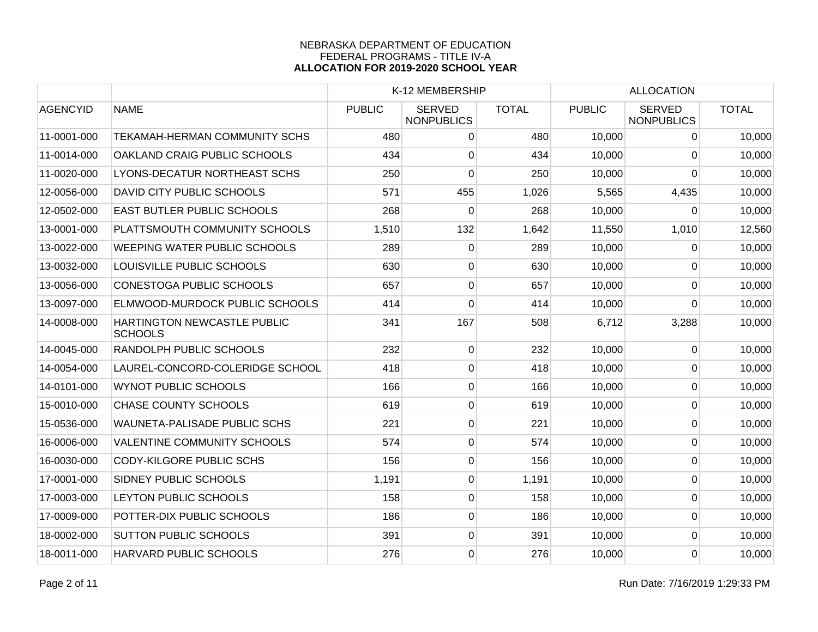|                 |                                               |               | K-12 MEMBERSHIP                    |              |               | <b>ALLOCATION</b>                  |              |  |
|-----------------|-----------------------------------------------|---------------|------------------------------------|--------------|---------------|------------------------------------|--------------|--|
| <b>AGENCYID</b> | <b>NAME</b>                                   | <b>PUBLIC</b> | <b>SERVED</b><br><b>NONPUBLICS</b> | <b>TOTAL</b> | <b>PUBLIC</b> | <b>SERVED</b><br><b>NONPUBLICS</b> | <b>TOTAL</b> |  |
| 11-0001-000     | <b>TEKAMAH-HERMAN COMMUNITY SCHS</b>          | 480           | 0                                  | 480          | 10,000        | 0                                  | 10,000       |  |
| 11-0014-000     | OAKLAND CRAIG PUBLIC SCHOOLS                  | 434           | 0                                  | 434          | 10,000        | $\Omega$                           | 10,000       |  |
| 11-0020-000     | LYONS-DECATUR NORTHEAST SCHS                  | 250           | 0                                  | 250          | 10,000        | $\overline{0}$                     | 10,000       |  |
| 12-0056-000     | DAVID CITY PUBLIC SCHOOLS                     | 571           | 455                                | 1,026        | 5,565         | 4,435                              | 10,000       |  |
| 12-0502-000     | EAST BUTLER PUBLIC SCHOOLS                    | 268           | 0                                  | 268          | 10,000        | 0                                  | 10,000       |  |
| 13-0001-000     | PLATTSMOUTH COMMUNITY SCHOOLS                 | 1,510         | 132                                | 1,642        | 11,550        | 1,010                              | 12,560       |  |
| 13-0022-000     | <b>WEEPING WATER PUBLIC SCHOOLS</b>           | 289           | 0                                  | 289          | 10,000        | $\Omega$                           | 10,000       |  |
| 13-0032-000     | LOUISVILLE PUBLIC SCHOOLS                     | 630           | 0                                  | 630          | 10,000        | $\Omega$                           | 10,000       |  |
| 13-0056-000     | <b>CONESTOGA PUBLIC SCHOOLS</b>               | 657           | 0                                  | 657          | 10,000        | $\Omega$                           | 10,000       |  |
| 13-0097-000     | ELMWOOD-MURDOCK PUBLIC SCHOOLS                | 414           | $\overline{0}$                     | 414          | 10,000        | 0                                  | 10,000       |  |
| 14-0008-000     | HARTINGTON NEWCASTLE PUBLIC<br><b>SCHOOLS</b> | 341           | 167                                | 508          | 6,712         | 3,288                              | 10,000       |  |
| 14-0045-000     | RANDOLPH PUBLIC SCHOOLS                       | 232           | $\mathbf 0$                        | 232          | 10,000        | $\Omega$                           | 10,000       |  |
| 14-0054-000     | LAUREL-CONCORD-COLERIDGE SCHOOL               | 418           | 0                                  | 418          | 10,000        | 0                                  | 10,000       |  |
| 14-0101-000     | <b>WYNOT PUBLIC SCHOOLS</b>                   | 166           | 0                                  | 166          | 10,000        | 0                                  | 10,000       |  |
| 15-0010-000     | <b>CHASE COUNTY SCHOOLS</b>                   | 619           | $\overline{0}$                     | 619          | 10,000        | $\Omega$                           | 10,000       |  |
| 15-0536-000     | WAUNETA-PALISADE PUBLIC SCHS                  | 221           | $\overline{0}$                     | 221          | 10,000        | $\overline{0}$                     | 10,000       |  |
| 16-0006-000     | <b>VALENTINE COMMUNITY SCHOOLS</b>            | 574           | $\overline{0}$                     | 574          | 10,000        | $\mathbf 0$                        | 10,000       |  |
| 16-0030-000     | <b>CODY-KILGORE PUBLIC SCHS</b>               | 156           | 0                                  | 156          | 10,000        | $\mathbf 0$                        | 10,000       |  |
| 17-0001-000     | SIDNEY PUBLIC SCHOOLS                         | 1,191         | 0                                  | 1,191        | 10,000        | $\mathbf 0$                        | 10,000       |  |
| 17-0003-000     | LEYTON PUBLIC SCHOOLS                         | 158           | 0                                  | 158          | 10,000        | $\mathbf 0$                        | 10,000       |  |
| 17-0009-000     | POTTER-DIX PUBLIC SCHOOLS                     | 186           | 0                                  | 186          | 10,000        | 0                                  | 10,000       |  |
| 18-0002-000     | <b>SUTTON PUBLIC SCHOOLS</b>                  | 391           | $\mathsf 0$                        | 391          | 10,000        | $\overline{0}$                     | 10,000       |  |
| 18-0011-000     | HARVARD PUBLIC SCHOOLS                        | 276           | 0                                  | 276          | 10,000        | 0                                  | 10,000       |  |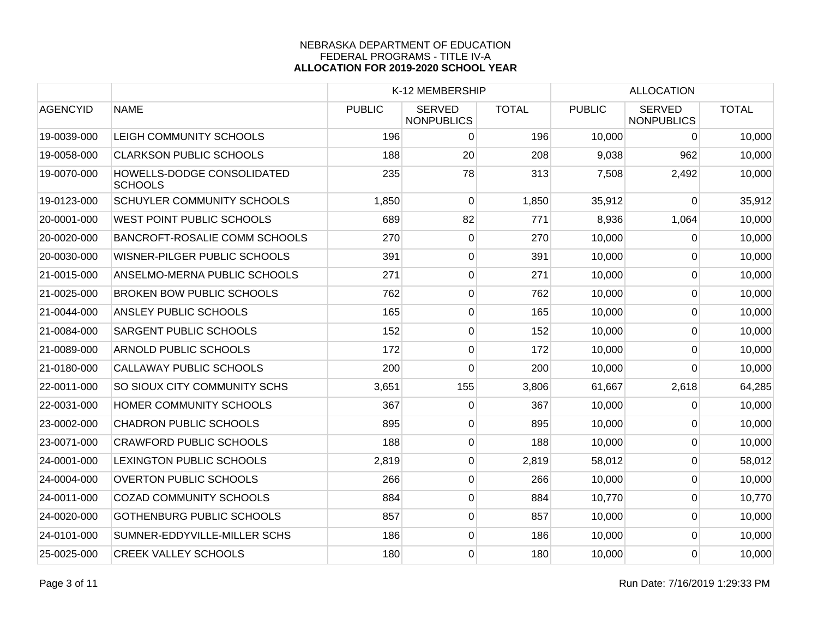|                 |                                              | K-12 MEMBERSHIP |                                    |              |               |                                    |              |
|-----------------|----------------------------------------------|-----------------|------------------------------------|--------------|---------------|------------------------------------|--------------|
| <b>AGENCYID</b> | <b>NAME</b>                                  | <b>PUBLIC</b>   | <b>SERVED</b><br><b>NONPUBLICS</b> | <b>TOTAL</b> | <b>PUBLIC</b> | <b>SERVED</b><br><b>NONPUBLICS</b> | <b>TOTAL</b> |
| 19-0039-000     | LEIGH COMMUNITY SCHOOLS                      | 196             | 0                                  | 196          | 10,000        | 0                                  | 10,000       |
| 19-0058-000     | <b>CLARKSON PUBLIC SCHOOLS</b>               | 188             | 20                                 | 208          | 9,038         | 962                                | 10,000       |
| 19-0070-000     | HOWELLS-DODGE CONSOLIDATED<br><b>SCHOOLS</b> | 235             | 78                                 | 313          | 7,508         | 2,492                              | 10,000       |
| 19-0123-000     | <b>SCHUYLER COMMUNITY SCHOOLS</b>            | 1,850           | 0                                  | 1,850        | 35,912        | 0                                  | 35,912       |
| 20-0001-000     | <b>WEST POINT PUBLIC SCHOOLS</b>             | 689             | 82                                 | 771          | 8,936         | 1,064                              | 10,000       |
| 20-0020-000     | <b>BANCROFT-ROSALIE COMM SCHOOLS</b>         | 270             | 0                                  | 270          | 10,000        | $\mathbf{0}$                       | 10,000       |
| 20-0030-000     | WISNER-PILGER PUBLIC SCHOOLS                 | 391             | $\overline{0}$                     | 391          | 10,000        | $\mathbf 0$                        | 10,000       |
| 21-0015-000     | ANSELMO-MERNA PUBLIC SCHOOLS                 | 271             | $\overline{0}$                     | 271          | 10,000        | $\overline{0}$                     | 10,000       |
| 21-0025-000     | <b>BROKEN BOW PUBLIC SCHOOLS</b>             | 762             | $\overline{0}$                     | 762          | 10,000        | $\mathbf 0$                        | 10,000       |
| 21-0044-000     | ANSLEY PUBLIC SCHOOLS                        | 165             | $\overline{0}$                     | 165          | 10,000        | $\overline{0}$                     | 10,000       |
| 21-0084-000     | <b>SARGENT PUBLIC SCHOOLS</b>                | 152             | 0                                  | 152          | 10,000        | 0                                  | 10,000       |
| 21-0089-000     | <b>ARNOLD PUBLIC SCHOOLS</b>                 | 172             | 0                                  | 172          | 10,000        | $\mathbf{0}$                       | 10,000       |
| 21-0180-000     | <b>CALLAWAY PUBLIC SCHOOLS</b>               | 200             | $\mathbf 0$                        | 200          | 10,000        | $\overline{0}$                     | 10,000       |
| 22-0011-000     | SO SIOUX CITY COMMUNITY SCHS                 | 3,651           | 155                                | 3,806        | 61,667        | 2,618                              | 64,285       |
| 22-0031-000     | HOMER COMMUNITY SCHOOLS                      | 367             | 0                                  | 367          | 10,000        | $\mathbf{0}$                       | 10,000       |
| 23-0002-000     | <b>CHADRON PUBLIC SCHOOLS</b>                | 895             | $\overline{0}$                     | 895          | 10,000        | $\Omega$                           | 10,000       |
| 23-0071-000     | <b>CRAWFORD PUBLIC SCHOOLS</b>               | 188             | $\overline{0}$                     | 188          | 10,000        | $\overline{0}$                     | 10,000       |
| 24-0001-000     | LEXINGTON PUBLIC SCHOOLS                     | 2,819           | $\boldsymbol{0}$                   | 2,819        | 58,012        | $\mathbf 0$                        | 58,012       |
| 24-0004-000     | <b>OVERTON PUBLIC SCHOOLS</b>                | 266             | $\overline{0}$                     | 266          | 10,000        | $\mathbf 0$                        | 10,000       |
| 24-0011-000     | <b>COZAD COMMUNITY SCHOOLS</b>               | 884             | 0                                  | 884          | 10,770        | 0                                  | 10,770       |
| 24-0020-000     | <b>GOTHENBURG PUBLIC SCHOOLS</b>             | 857             | 0                                  | 857          | 10,000        | $\overline{0}$                     | 10,000       |
| 24-0101-000     | SUMNER-EDDYVILLE-MILLER SCHS                 | 186             | $\mathsf 0$                        | 186          | 10,000        | $\mathbf 0$                        | 10,000       |
| 25-0025-000     | <b>CREEK VALLEY SCHOOLS</b>                  | 180             | 0                                  | 180          | 10,000        | $\overline{0}$                     | 10,000       |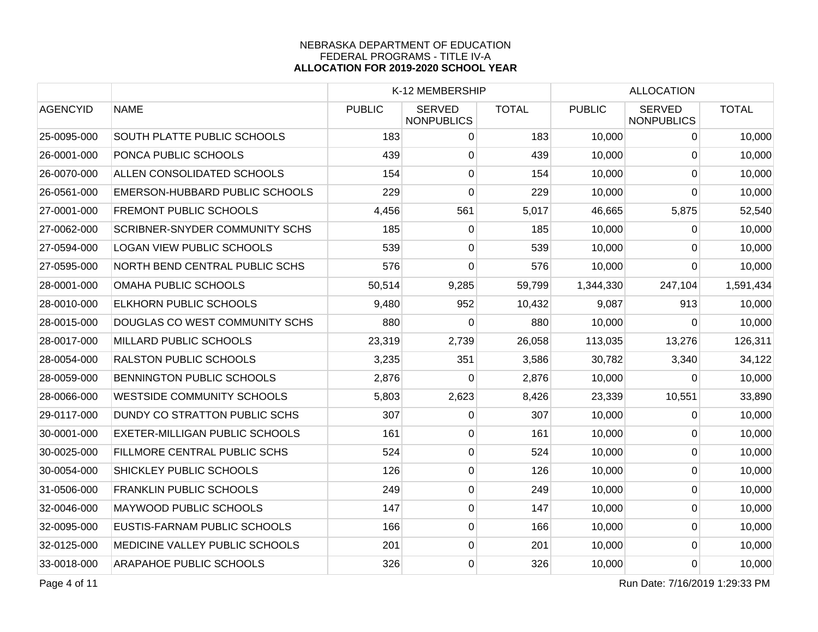|                 |                                       |               | K-12 MEMBERSHIP                    |              |               | <b>ALLOCATION</b>                  |              |
|-----------------|---------------------------------------|---------------|------------------------------------|--------------|---------------|------------------------------------|--------------|
| <b>AGENCYID</b> | <b>NAME</b>                           | <b>PUBLIC</b> | <b>SERVED</b><br><b>NONPUBLICS</b> | <b>TOTAL</b> | <b>PUBLIC</b> | <b>SERVED</b><br><b>NONPUBLICS</b> | <b>TOTAL</b> |
| 25-0095-000     | <b>SOUTH PLATTE PUBLIC SCHOOLS</b>    | 183           | $\overline{0}$                     | 183          | 10,000        | 0                                  | 10,000       |
| 26-0001-000     | PONCA PUBLIC SCHOOLS                  | 439           | $\overline{0}$                     | 439          | 10,000        | $\mathbf 0$                        | 10,000       |
| 26-0070-000     | ALLEN CONSOLIDATED SCHOOLS            | 154           | 0                                  | 154          | 10,000        | $\Omega$                           | 10,000       |
| 26-0561-000     | EMERSON-HUBBARD PUBLIC SCHOOLS        | 229           | 0                                  | 229          | 10,000        | 0                                  | 10,000       |
| 27-0001-000     | <b>FREMONT PUBLIC SCHOOLS</b>         | 4,456         | 561                                | 5,017        | 46,665        | 5,875                              | 52,540       |
| 27-0062-000     | <b>SCRIBNER-SNYDER COMMUNITY SCHS</b> | 185           | 0                                  | 185          | 10,000        | 0                                  | 10,000       |
| 27-0594-000     | <b>LOGAN VIEW PUBLIC SCHOOLS</b>      | 539           | $\overline{0}$                     | 539          | 10,000        | $\mathbf 0$                        | 10,000       |
| 27-0595-000     | NORTH BEND CENTRAL PUBLIC SCHS        | 576           | 0                                  | 576          | 10,000        | $\Omega$                           | 10,000       |
| 28-0001-000     | OMAHA PUBLIC SCHOOLS                  | 50,514        | 9,285                              | 59,799       | 1,344,330     | 247,104                            | 1,591,434    |
| 28-0010-000     | <b>ELKHORN PUBLIC SCHOOLS</b>         | 9,480         | 952                                | 10,432       | 9,087         | 913                                | 10,000       |
| 28-0015-000     | DOUGLAS CO WEST COMMUNITY SCHS        | 880           | 0                                  | 880          | 10,000        | 0                                  | 10,000       |
| 28-0017-000     | MILLARD PUBLIC SCHOOLS                | 23,319        | 2,739                              | 26,058       | 113,035       | 13,276                             | 126,311      |
| 28-0054-000     | <b>RALSTON PUBLIC SCHOOLS</b>         | 3,235         | 351                                | 3,586        | 30,782        | 3,340                              | 34,122       |
| 28-0059-000     | <b>BENNINGTON PUBLIC SCHOOLS</b>      | 2,876         | 0                                  | 2,876        | 10,000        | 0                                  | 10,000       |
| 28-0066-000     | <b>WESTSIDE COMMUNITY SCHOOLS</b>     | 5,803         | 2,623                              | 8,426        | 23,339        | 10,551                             | 33,890       |
| 29-0117-000     | DUNDY CO STRATTON PUBLIC SCHS         | 307           | 0                                  | 307          | 10,000        | 0                                  | 10,000       |
| 30-0001-000     | <b>EXETER-MILLIGAN PUBLIC SCHOOLS</b> | 161           | 0                                  | 161          | 10,000        | $\Omega$                           | 10,000       |
| 30-0025-000     | FILLMORE CENTRAL PUBLIC SCHS          | 524           | $\overline{0}$                     | 524          | 10,000        | $\mathbf 0$                        | 10,000       |
| 30-0054-000     | SHICKLEY PUBLIC SCHOOLS               | 126           | $\overline{0}$                     | 126          | 10,000        | 0                                  | 10,000       |
| 31-0506-000     | <b>FRANKLIN PUBLIC SCHOOLS</b>        | 249           | 0                                  | 249          | 10,000        | $\Omega$                           | 10,000       |
| 32-0046-000     | MAYWOOD PUBLIC SCHOOLS                | 147           | $\mathsf 0$                        | 147          | 10,000        | 0                                  | 10,000       |
| 32-0095-000     | EUSTIS-FARNAM PUBLIC SCHOOLS          | 166           | 0                                  | 166          | 10,000        | 0                                  | 10,000       |
| 32-0125-000     | MEDICINE VALLEY PUBLIC SCHOOLS        | 201           | $\overline{0}$                     | 201          | 10,000        | $\Omega$                           | 10,000       |
| 33-0018-000     | <b>ARAPAHOE PUBLIC SCHOOLS</b>        | 326           | $\overline{0}$                     | 326          | 10,000        | $\mathbf 0$                        | 10,000       |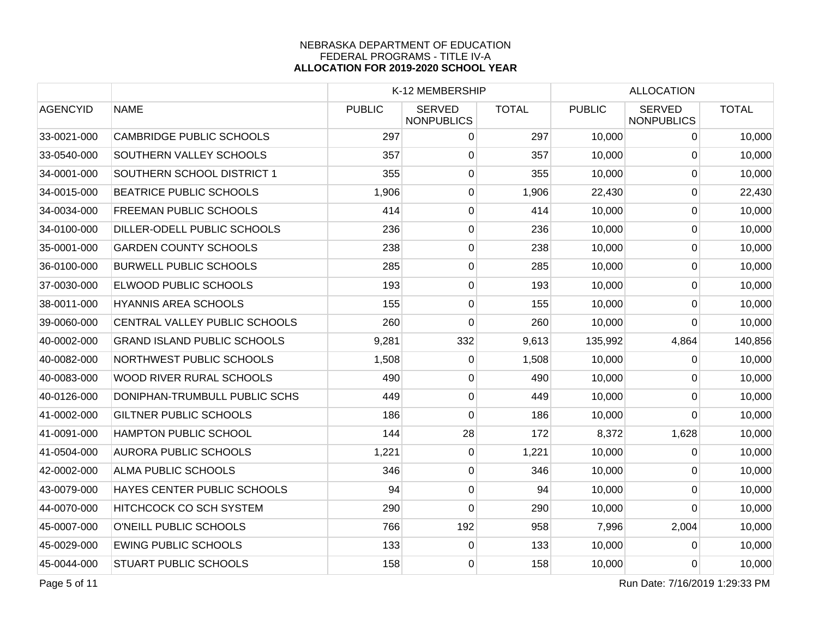|                 |                                    |               | K-12 MEMBERSHIP                    |              |               | <b>ALLOCATION</b>                  |              |  |
|-----------------|------------------------------------|---------------|------------------------------------|--------------|---------------|------------------------------------|--------------|--|
| <b>AGENCYID</b> | <b>NAME</b>                        | <b>PUBLIC</b> | <b>SERVED</b><br><b>NONPUBLICS</b> | <b>TOTAL</b> | <b>PUBLIC</b> | <b>SERVED</b><br><b>NONPUBLICS</b> | <b>TOTAL</b> |  |
| 33-0021-000     | <b>CAMBRIDGE PUBLIC SCHOOLS</b>    | 297           | $\overline{0}$                     | 297          | 10,000        | $\mathbf{0}$                       | 10,000       |  |
| 33-0540-000     | SOUTHERN VALLEY SCHOOLS            | 357           | $\overline{0}$                     | 357          | 10,000        | 0                                  | 10,000       |  |
| 34-0001-000     | SOUTHERN SCHOOL DISTRICT 1         | 355           | 0                                  | 355          | 10,000        | 0                                  | 10,000       |  |
| 34-0015-000     | <b>BEATRICE PUBLIC SCHOOLS</b>     | 1,906         | 0                                  | 1,906        | 22,430        | $\mathbf{0}$                       | 22,430       |  |
| 34-0034-000     | <b>FREEMAN PUBLIC SCHOOLS</b>      | 414           | 0                                  | 414          | 10,000        | 0                                  | 10,000       |  |
| 34-0100-000     | DILLER-ODELL PUBLIC SCHOOLS        | 236           | $\overline{0}$                     | 236          | 10,000        | $\mathbf 0$                        | 10,000       |  |
| 35-0001-000     | <b>GARDEN COUNTY SCHOOLS</b>       | 238           | $\overline{0}$                     | 238          | 10,000        | $\overline{0}$                     | 10,000       |  |
| 36-0100-000     | <b>BURWELL PUBLIC SCHOOLS</b>      | 285           | $\boldsymbol{0}$                   | 285          | 10,000        | $\mathbf 0$                        | 10,000       |  |
| 37-0030-000     | <b>ELWOOD PUBLIC SCHOOLS</b>       | 193           | 0                                  | 193          | 10,000        | $\mathbf{0}$                       | 10,000       |  |
| 38-0011-000     | <b>HYANNIS AREA SCHOOLS</b>        | 155           | 0                                  | 155          | 10,000        | $\mathbf{0}$                       | 10,000       |  |
| 39-0060-000     | CENTRAL VALLEY PUBLIC SCHOOLS      | 260           | 0                                  | 260          | 10,000        | 0                                  | 10,000       |  |
| 40-0002-000     | <b>GRAND ISLAND PUBLIC SCHOOLS</b> | 9,281         | 332                                | 9,613        | 135,992       | 4,864                              | 140,856      |  |
| 40-0082-000     | NORTHWEST PUBLIC SCHOOLS           | 1,508         | $\overline{0}$                     | 1,508        | 10,000        | $\pmb{0}$                          | 10,000       |  |
| 40-0083-000     | WOOD RIVER RURAL SCHOOLS           | 490           | $\overline{0}$                     | 490          | 10,000        | $\mathbf{0}$                       | 10,000       |  |
| 40-0126-000     | DONIPHAN-TRUMBULL PUBLIC SCHS      | 449           | $\overline{0}$                     | 449          | 10,000        | $\Omega$                           | 10,000       |  |
| 41-0002-000     | <b>GILTNER PUBLIC SCHOOLS</b>      | 186           | 0                                  | 186          | 10,000        | $\Omega$                           | 10,000       |  |
| 41-0091-000     | <b>HAMPTON PUBLIC SCHOOL</b>       | 144           | 28                                 | 172          | 8,372         | 1,628                              | 10,000       |  |
| 41-0504-000     | <b>AURORA PUBLIC SCHOOLS</b>       | 1,221         | $\overline{0}$                     | 1,221        | 10,000        | $\mathbf 0$                        | 10,000       |  |
| 42-0002-000     | <b>ALMA PUBLIC SCHOOLS</b>         | 346           | $\overline{0}$                     | 346          | 10,000        | $\mathbf 0$                        | 10,000       |  |
| 43-0079-000     | HAYES CENTER PUBLIC SCHOOLS        | 94            | 0                                  | 94           | 10,000        | $\mathbf{0}$                       | 10,000       |  |
| 44-0070-000     | <b>HITCHCOCK CO SCH SYSTEM</b>     | 290           | 0                                  | 290          | 10,000        | $\Omega$                           | 10,000       |  |
| 45-0007-000     | O'NEILL PUBLIC SCHOOLS             | 766           | 192                                | 958          | 7,996         | 2,004                              | 10,000       |  |
| 45-0029-000     | <b>EWING PUBLIC SCHOOLS</b>        | 133           | 0                                  | 133          | 10,000        | 0                                  | 10,000       |  |
| 45-0044-000     | <b>STUART PUBLIC SCHOOLS</b>       | 158           | $\overline{0}$                     | 158          | 10,000        | $\mathbf{0}$                       | 10,000       |  |

Page 5 of 11 Run Date: 7/16/2019 1:29:33 PM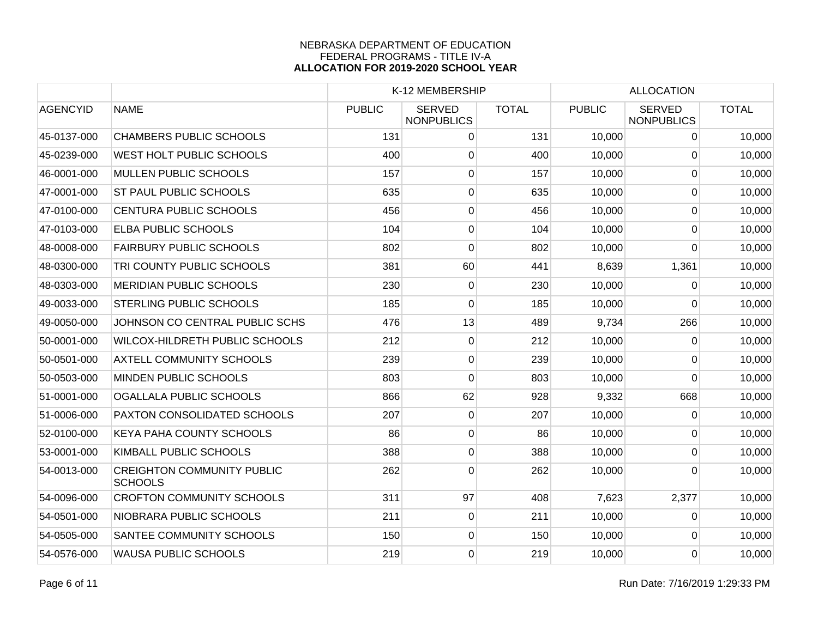|                 |                                                     |               | K-12 MEMBERSHIP                    |              |               | <b>ALLOCATION</b>                  |              |
|-----------------|-----------------------------------------------------|---------------|------------------------------------|--------------|---------------|------------------------------------|--------------|
| <b>AGENCYID</b> | <b>NAME</b>                                         | <b>PUBLIC</b> | <b>SERVED</b><br><b>NONPUBLICS</b> | <b>TOTAL</b> | <b>PUBLIC</b> | <b>SERVED</b><br><b>NONPUBLICS</b> | <b>TOTAL</b> |
| 45-0137-000     | <b>CHAMBERS PUBLIC SCHOOLS</b>                      | 131           | 0                                  | 131          | 10,000        | 0                                  | 10,000       |
| 45-0239-000     | <b>WEST HOLT PUBLIC SCHOOLS</b>                     | 400           | 0                                  | 400          | 10,000        | 0                                  | 10,000       |
| 46-0001-000     | <b>MULLEN PUBLIC SCHOOLS</b>                        | 157           | 0                                  | 157          | 10,000        | 0                                  | 10,000       |
| 47-0001-000     | <b>ST PAUL PUBLIC SCHOOLS</b>                       | 635           | $\overline{0}$                     | 635          | 10,000        | $\overline{0}$                     | 10,000       |
| 47-0100-000     | CENTURA PUBLIC SCHOOLS                              | 456           | 0                                  | 456          | 10,000        | $\overline{0}$                     | 10,000       |
| 47-0103-000     | <b>ELBA PUBLIC SCHOOLS</b>                          | 104           | 0                                  | 104          | 10,000        | 0                                  | 10,000       |
| 48-0008-000     | <b>FAIRBURY PUBLIC SCHOOLS</b>                      | 802           | 0                                  | 802          | 10,000        | $\Omega$                           | 10,000       |
| 48-0300-000     | TRI COUNTY PUBLIC SCHOOLS                           | 381           | 60                                 | 441          | 8,639         | 1,361                              | 10,000       |
| 48-0303-000     | <b>MERIDIAN PUBLIC SCHOOLS</b>                      | 230           | 0                                  | 230          | 10,000        | 0                                  | 10,000       |
| 49-0033-000     | <b>STERLING PUBLIC SCHOOLS</b>                      | 185           | 0                                  | 185          | 10,000        | $\Omega$                           | 10,000       |
| 49-0050-000     | JOHNSON CO CENTRAL PUBLIC SCHS                      | 476           | 13                                 | 489          | 9,734         | 266                                | 10,000       |
| 50-0001-000     | WILCOX-HILDRETH PUBLIC SCHOOLS                      | 212           | 0                                  | 212          | 10,000        | 0                                  | 10,000       |
| 50-0501-000     | <b>AXTELL COMMUNITY SCHOOLS</b>                     | 239           | 0                                  | 239          | 10,000        | $\Omega$                           | 10,000       |
| 50-0503-000     | MINDEN PUBLIC SCHOOLS                               | 803           | $\mathbf 0$                        | 803          | 10,000        | $\mathbf 0$                        | 10,000       |
| 51-0001-000     | OGALLALA PUBLIC SCHOOLS                             | 866           | 62                                 | 928          | 9,332         | 668                                | 10,000       |
| 51-0006-000     | PAXTON CONSOLIDATED SCHOOLS                         | 207           | 0                                  | 207          | 10,000        | 0                                  | 10,000       |
| 52-0100-000     | <b>KEYA PAHA COUNTY SCHOOLS</b>                     | 86            | 0                                  | 86           | 10,000        | $\Omega$                           | 10,000       |
| 53-0001-000     | KIMBALL PUBLIC SCHOOLS                              | 388           | 0                                  | 388          | 10,000        | $\mathbf 0$                        | 10,000       |
| 54-0013-000     | <b>CREIGHTON COMMUNITY PUBLIC</b><br><b>SCHOOLS</b> | 262           | 0                                  | 262          | 10,000        | 0                                  | 10,000       |
| 54-0096-000     | <b>CROFTON COMMUNITY SCHOOLS</b>                    | 311           | 97                                 | 408          | 7,623         | 2,377                              | 10,000       |
| 54-0501-000     | NIOBRARA PUBLIC SCHOOLS                             | 211           | 0                                  | 211          | 10,000        | 0                                  | 10,000       |
| 54-0505-000     | SANTEE COMMUNITY SCHOOLS                            | 150           | 0                                  | 150          | 10,000        | $\Omega$                           | 10,000       |
| 54-0576-000     | <b>WAUSA PUBLIC SCHOOLS</b>                         | 219           | 0                                  | 219          | 10,000        | $\Omega$                           | 10,000       |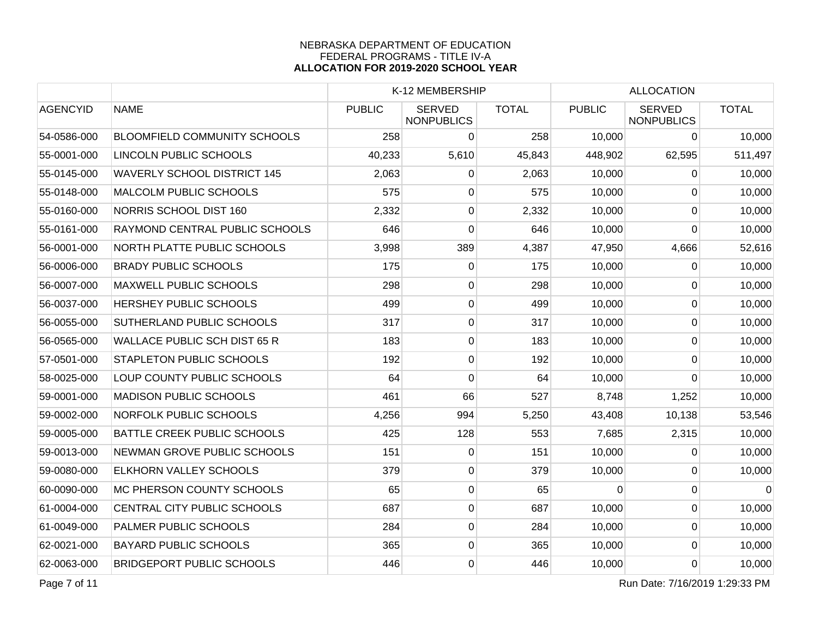|                                     | K-12 MEMBERSHIP |                                    |               | <b>ALLOCATION</b> |                                    |                                      |
|-------------------------------------|-----------------|------------------------------------|---------------|-------------------|------------------------------------|--------------------------------------|
| <b>NAME</b>                         | <b>PUBLIC</b>   | <b>SERVED</b><br><b>NONPUBLICS</b> | <b>TOTAL</b>  | <b>PUBLIC</b>     | <b>SERVED</b><br><b>NONPUBLICS</b> | <b>TOTAL</b>                         |
| <b>BLOOMFIELD COMMUNITY SCHOOLS</b> | 258             | $\overline{0}$                     | 258           | 10,000            | 0                                  | 10,000                               |
| LINCOLN PUBLIC SCHOOLS              |                 | 5,610                              | 45,843        | 448,902           | 62,595                             | 511,497                              |
| <b>WAVERLY SCHOOL DISTRICT 145</b>  | 2,063           | $\Omega$                           | 2,063         | 10,000            | $\Omega$                           | 10,000                               |
| <b>MALCOLM PUBLIC SCHOOLS</b>       | 575             | 0                                  | 575           | 10,000            | $\Omega$                           | 10,000                               |
| NORRIS SCHOOL DIST 160              | 2,332           | 0                                  | 2,332         | 10,000            | 0                                  | 10,000                               |
| RAYMOND CENTRAL PUBLIC SCHOOLS      | 646             | 0                                  |               | 10,000            | $\Omega$                           | 10,000                               |
| NORTH PLATTE PUBLIC SCHOOLS         | 3,998           | 389                                | 4,387         |                   | 4,666                              | 52,616                               |
| <b>BRADY PUBLIC SCHOOLS</b>         | 175             | $\overline{0}$                     |               | 10,000            | $\mathbf{0}$                       | 10,000                               |
| <b>MAXWELL PUBLIC SCHOOLS</b>       | 298             | 0                                  | 298           | 10,000            | 0                                  | 10,000                               |
| <b>HERSHEY PUBLIC SCHOOLS</b>       | 499             | $\overline{0}$                     | 499           | 10,000            | $\mathbf 0$                        | 10,000                               |
| <b>SUTHERLAND PUBLIC SCHOOLS</b>    | 317             | $\overline{0}$                     | 317           | 10,000            | 0                                  | 10,000                               |
| <b>WALLACE PUBLIC SCH DIST 65 R</b> |                 | $\overline{0}$                     | 183           | 10,000            | 0                                  | 10,000                               |
| <b>STAPLETON PUBLIC SCHOOLS</b>     | 192             | $\overline{0}$                     | 192           |                   | $\overline{0}$                     | 10,000                               |
| LOUP COUNTY PUBLIC SCHOOLS          | 64              | 0                                  | 64            | 10,000            | $\Omega$                           | 10,000                               |
| <b>MADISON PUBLIC SCHOOLS</b>       | 461             | 66                                 | 527           | 8,748             | 1,252                              | 10,000                               |
| <b>NORFOLK PUBLIC SCHOOLS</b>       | 4,256           | 994                                | 5,250         | 43,408            | 10,138                             | 53,546                               |
| <b>BATTLE CREEK PUBLIC SCHOOLS</b>  | 425             | 128                                | 553           | 7,685             | 2,315                              | 10,000                               |
| NEWMAN GROVE PUBLIC SCHOOLS         | 151             | $\overline{0}$                     | 151           |                   | 0                                  | 10,000                               |
| <b>ELKHORN VALLEY SCHOOLS</b>       | 379             | $\overline{0}$                     | 379           | 10,000            | 0                                  | 10,000                               |
| MC PHERSON COUNTY SCHOOLS           | 65              | $\boldsymbol{0}$                   | 65            | $\Omega$          | $\mathbf 0$                        | $\mathbf 0$                          |
| CENTRAL CITY PUBLIC SCHOOLS         | 687             | $\overline{0}$                     | 687           | 10,000            | $\Omega$                           | 10,000                               |
| <b>PALMER PUBLIC SCHOOLS</b>        | 284             | $\overline{0}$                     | 284           | 10,000            | 0                                  | 10,000                               |
| <b>BAYARD PUBLIC SCHOOLS</b>        | 365             | $\pmb{0}$                          |               |                   | 0                                  | 10,000                               |
| <b>BRIDGEPORT PUBLIC SCHOOLS</b>    | 446             | $\overline{0}$                     | 446           | 10,000            | $\mathbf 0$                        | 10,000                               |
|                                     |                 |                                    | 40,233<br>183 |                   | 646<br>175<br>365                  | 47,950<br>10,000<br>10,000<br>10,000 |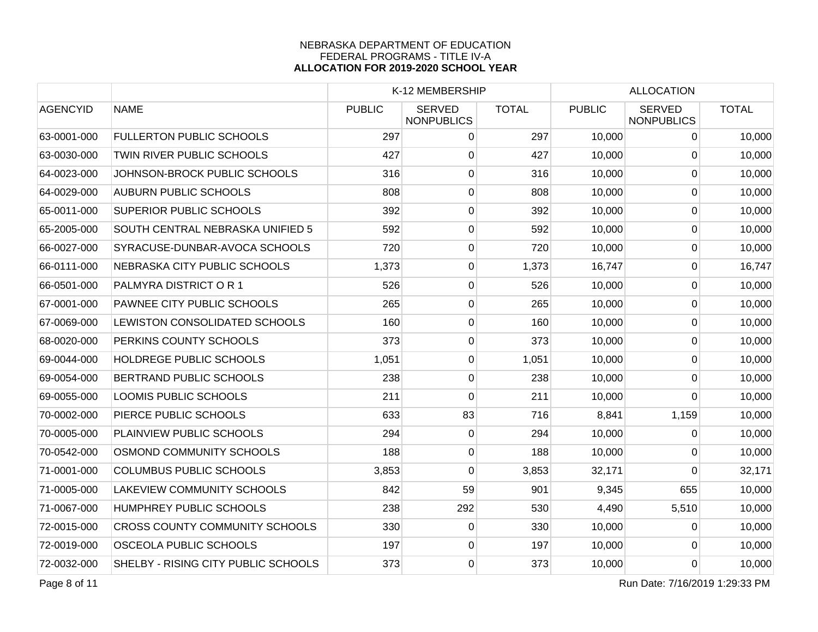|                 |                                       | K-12 MEMBERSHIP |                                    |              | <b>ALLOCATION</b> |                                    |              |
|-----------------|---------------------------------------|-----------------|------------------------------------|--------------|-------------------|------------------------------------|--------------|
| <b>AGENCYID</b> | <b>NAME</b>                           | <b>PUBLIC</b>   | <b>SERVED</b><br><b>NONPUBLICS</b> | <b>TOTAL</b> | <b>PUBLIC</b>     | <b>SERVED</b><br><b>NONPUBLICS</b> | <b>TOTAL</b> |
| 63-0001-000     | <b>FULLERTON PUBLIC SCHOOLS</b>       | 297             | $\overline{0}$                     | 297          | 10,000            | $\mathbf{0}$                       | 10,000       |
| 63-0030-000     | TWIN RIVER PUBLIC SCHOOLS             | 427             | $\mathbf 0$                        | 427          | 10,000            | $\mathbf 0$                        | 10,000       |
| 64-0023-000     | JOHNSON-BROCK PUBLIC SCHOOLS          | 316             | $\mathbf 0$                        | 316          | 10,000            | $\Omega$                           | 10,000       |
| 64-0029-000     | <b>AUBURN PUBLIC SCHOOLS</b>          | 808             | $\mathbf 0$                        | 808          | 10,000            | $\mathbf 0$                        | 10,000       |
| 65-0011-000     | SUPERIOR PUBLIC SCHOOLS               | 392             | 0                                  | 392          | 10,000            | 0                                  | 10,000       |
| 65-2005-000     | SOUTH CENTRAL NEBRASKA UNIFIED 5      | 592             | $\overline{0}$                     | 592          | 10,000            | $\pmb{0}$                          | 10,000       |
| 66-0027-000     | SYRACUSE-DUNBAR-AVOCA SCHOOLS         | 720             | $\overline{0}$                     | 720          | 10,000            | $\pmb{0}$                          | 10,000       |
| 66-0111-000     | NEBRASKA CITY PUBLIC SCHOOLS          | 1,373           | $\mathbf 0$                        | 1,373        | 16,747            | $\mathbf{0}$                       | 16,747       |
| 66-0501-000     | PALMYRA DISTRICT OR 1                 | 526             | 0                                  | 526          | 10,000            | $\Omega$                           | 10,000       |
| 67-0001-000     | PAWNEE CITY PUBLIC SCHOOLS            | 265             | $\mathbf 0$                        | 265          | 10,000            | 0                                  | 10,000       |
| 67-0069-000     | LEWISTON CONSOLIDATED SCHOOLS         | 160             | 0                                  | 160          | 10,000            | $\mathbf 0$                        | 10,000       |
| 68-0020-000     | PERKINS COUNTY SCHOOLS                | 373             | $\overline{0}$                     | 373          | 10,000            | $\mathbf 0$                        | 10,000       |
| 69-0044-000     | HOLDREGE PUBLIC SCHOOLS               | 1,051           | $\overline{0}$                     | 1,051        | 10,000            | $\pmb{0}$                          | 10,000       |
| 69-0054-000     | BERTRAND PUBLIC SCHOOLS               | 238             | 0                                  | 238          | 10,000            | $\overline{0}$                     | 10,000       |
| 69-0055-000     | LOOMIS PUBLIC SCHOOLS                 | 211             | $\mathbf{0}$                       | 211          | 10,000            | $\Omega$                           | 10,000       |
| 70-0002-000     | PIERCE PUBLIC SCHOOLS                 | 633             | 83                                 | 716          | 8,841             | 1,159                              | 10,000       |
| 70-0005-000     | PLAINVIEW PUBLIC SCHOOLS              | 294             | 0                                  | 294          | 10,000            | $\Omega$                           | 10,000       |
| 70-0542-000     | OSMOND COMMUNITY SCHOOLS              | 188             | $\overline{0}$                     | 188          | 10,000            | $\mathbf 0$                        | 10,000       |
| 71-0001-000     | <b>COLUMBUS PUBLIC SCHOOLS</b>        | 3,853           | 0                                  | 3,853        | 32,171            | $\Omega$                           | 32,171       |
| 71-0005-000     | LAKEVIEW COMMUNITY SCHOOLS            | 842             | 59                                 | 901          | 9,345             | 655                                | 10,000       |
| 71-0067-000     | <b>HUMPHREY PUBLIC SCHOOLS</b>        | 238             | 292                                | 530          | 4,490             | 5,510                              | 10,000       |
| 72-0015-000     | <b>CROSS COUNTY COMMUNITY SCHOOLS</b> | 330             | 0                                  | 330          | 10,000            | 0                                  | 10,000       |
| 72-0019-000     | OSCEOLA PUBLIC SCHOOLS                | 197             | $\overline{0}$                     | 197          | 10,000            | $\mathbf 0$                        | 10,000       |
| 72-0032-000     | SHELBY - RISING CITY PUBLIC SCHOOLS   | 373             | $\overline{0}$                     | 373          | 10,000            | $\mathbf 0$                        | 10,000       |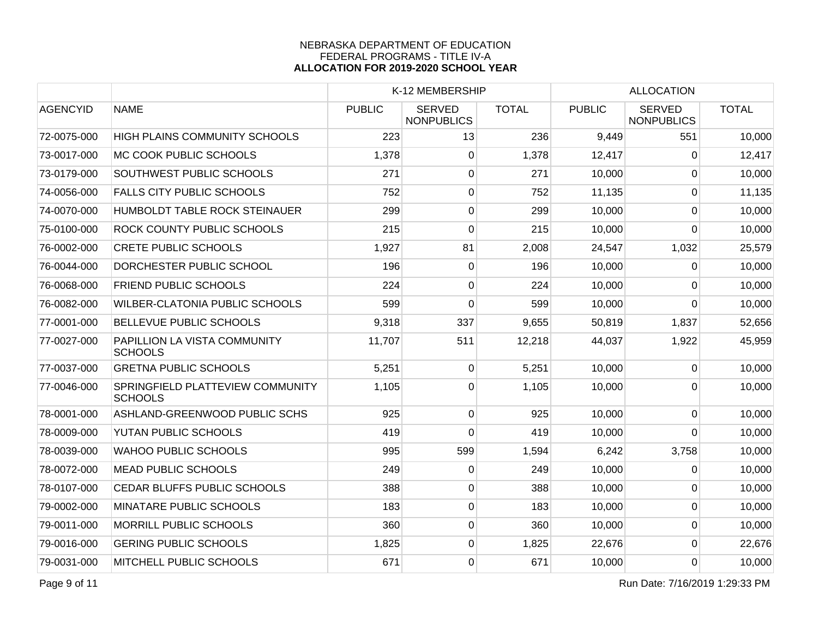|                 |                                                    | K-12 MEMBERSHIP |                                    | <b>ALLOCATION</b> |               |                                    |              |
|-----------------|----------------------------------------------------|-----------------|------------------------------------|-------------------|---------------|------------------------------------|--------------|
| <b>AGENCYID</b> | <b>NAME</b>                                        | <b>PUBLIC</b>   | <b>SERVED</b><br><b>NONPUBLICS</b> | <b>TOTAL</b>      | <b>PUBLIC</b> | <b>SERVED</b><br><b>NONPUBLICS</b> | <b>TOTAL</b> |
| 72-0075-000     | <b>HIGH PLAINS COMMUNITY SCHOOLS</b>               | 223             | 13                                 | 236               | 9,449         | 551                                | 10,000       |
| 73-0017-000     | MC COOK PUBLIC SCHOOLS                             | 1,378           | $\pmb{0}$                          | 1,378             | 12,417        | $\Omega$                           | 12,417       |
| 73-0179-000     | SOUTHWEST PUBLIC SCHOOLS                           | 271             | 0                                  | 271               | 10,000        | $\mathbf{0}$                       | 10,000       |
| 74-0056-000     | <b>FALLS CITY PUBLIC SCHOOLS</b>                   | 752             | $\mathbf 0$                        | 752               | 11,135        | $\Omega$                           | 11,135       |
| 74-0070-000     | HUMBOLDT TABLE ROCK STEINAUER                      | 299             | $\pmb{0}$                          | 299               | 10,000        | $\overline{0}$                     | 10,000       |
| 75-0100-000     | <b>ROCK COUNTY PUBLIC SCHOOLS</b>                  | 215             | 0                                  | 215               | 10,000        | $\Omega$                           | 10,000       |
| 76-0002-000     | <b>CRETE PUBLIC SCHOOLS</b>                        | 1,927           | 81                                 | 2,008             | 24,547        | 1,032                              | 25,579       |
| 76-0044-000     | DORCHESTER PUBLIC SCHOOL                           | 196             | $\pmb{0}$                          | 196               | 10,000        | $\pmb{0}$                          | 10,000       |
| 76-0068-000     | <b>FRIEND PUBLIC SCHOOLS</b>                       | 224             | 0                                  | 224               | 10,000        | $\Omega$                           | 10,000       |
| 76-0082-000     | <b>WILBER-CLATONIA PUBLIC SCHOOLS</b>              | 599             | 0                                  | 599               | 10,000        | $\Omega$                           | 10,000       |
| 77-0001-000     | BELLEVUE PUBLIC SCHOOLS                            | 9,318           | 337                                | 9,655             | 50,819        | 1,837                              | 52,656       |
| 77-0027-000     | PAPILLION LA VISTA COMMUNITY<br><b>SCHOOLS</b>     | 11,707          | 511                                | 12,218            | 44,037        | 1,922                              | 45,959       |
| 77-0037-000     | <b>GRETNA PUBLIC SCHOOLS</b>                       | 5,251           | $\mathbf 0$                        | 5,251             | 10,000        | $\Omega$                           | 10,000       |
| 77-0046-000     | SPRINGFIELD PLATTEVIEW COMMUNITY<br><b>SCHOOLS</b> | 1,105           | 0                                  | 1,105             | 10,000        | $\Omega$                           | 10,000       |
| 78-0001-000     | ASHLAND-GREENWOOD PUBLIC SCHS                      | 925             | $\pmb{0}$                          | 925               | 10,000        | $\mathbf 0$                        | 10,000       |
| 78-0009-000     | YUTAN PUBLIC SCHOOLS                               | 419             | 0                                  | 419               | 10,000        | $\Omega$                           | 10,000       |
| 78-0039-000     | <b>WAHOO PUBLIC SCHOOLS</b>                        | 995             | 599                                | 1,594             | 6,242         | 3,758                              | 10,000       |
| 78-0072-000     | <b>MEAD PUBLIC SCHOOLS</b>                         | 249             | $\mathbf 0$                        | 249               | 10,000        | $\mathbf 0$                        | 10,000       |
| 78-0107-000     | CEDAR BLUFFS PUBLIC SCHOOLS                        | 388             | 0                                  | 388               | 10,000        | $\Omega$                           | 10,000       |
| 79-0002-000     | MINATARE PUBLIC SCHOOLS                            | 183             | $\overline{0}$                     | 183               | 10,000        | $\overline{0}$                     | 10,000       |
| 79-0011-000     | <b>MORRILL PUBLIC SCHOOLS</b>                      | 360             | $\pmb{0}$                          | 360               | 10,000        | 0                                  | 10,000       |
| 79-0016-000     | <b>GERING PUBLIC SCHOOLS</b>                       | 1,825           | 0                                  | 1,825             | 22,676        | $\mathbf 0$                        | 22,676       |
| 79-0031-000     | MITCHELL PUBLIC SCHOOLS                            | 671             | $\overline{0}$                     | 671               | 10,000        | $\overline{0}$                     | 10,000       |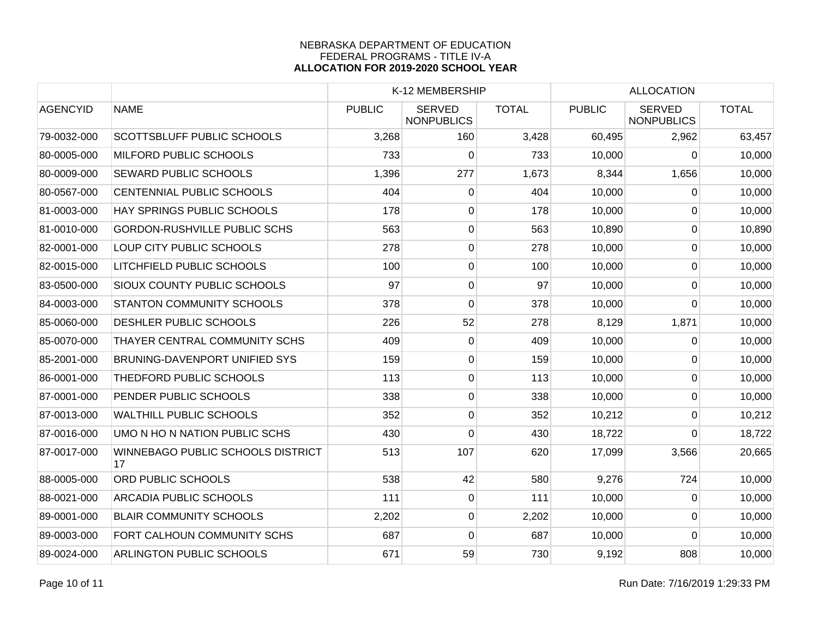|                 |                                         | K-12 MEMBERSHIP |                                    |              | <b>ALLOCATION</b> |                                    |              |
|-----------------|-----------------------------------------|-----------------|------------------------------------|--------------|-------------------|------------------------------------|--------------|
| <b>AGENCYID</b> | <b>NAME</b>                             | <b>PUBLIC</b>   | <b>SERVED</b><br><b>NONPUBLICS</b> | <b>TOTAL</b> | <b>PUBLIC</b>     | <b>SERVED</b><br><b>NONPUBLICS</b> | <b>TOTAL</b> |
| 79-0032-000     | <b>SCOTTSBLUFF PUBLIC SCHOOLS</b>       | 3,268           | 160                                | 3,428        | 60,495            | 2,962                              | 63,457       |
| 80-0005-000     | MILFORD PUBLIC SCHOOLS                  | 733             | 0                                  | 733          | 10,000            | $\Omega$                           | 10,000       |
| 80-0009-000     | <b>SEWARD PUBLIC SCHOOLS</b>            | 1,396           | 277                                | 1,673        | 8,344             | 1,656                              | 10,000       |
| 80-0567-000     | CENTENNIAL PUBLIC SCHOOLS               | 404             | $\overline{0}$                     | 404          | 10,000            | $\overline{0}$                     | 10,000       |
| 81-0003-000     | HAY SPRINGS PUBLIC SCHOOLS              | 178             | $\overline{0}$                     | 178          | 10,000            | $\overline{0}$                     | 10,000       |
| 81-0010-000     | <b>GORDON-RUSHVILLE PUBLIC SCHS</b>     | 563             | $\overline{0}$                     | 563          | 10,890            | $\mathbf 0$                        | 10,890       |
| 82-0001-000     | LOUP CITY PUBLIC SCHOOLS                | 278             | $\overline{0}$                     | 278          | 10,000            | 0                                  | 10,000       |
| 82-0015-000     | LITCHFIELD PUBLIC SCHOOLS               | 100             | $\overline{0}$                     | 100          | 10,000            | $\Omega$                           | 10,000       |
| 83-0500-000     | SIOUX COUNTY PUBLIC SCHOOLS             | 97              | $\mathbf 0$                        | 97           | 10,000            | $\mathbf{0}$                       | 10,000       |
| 84-0003-000     | <b>STANTON COMMUNITY SCHOOLS</b>        | 378             | 0                                  | 378          | 10,000            | 0                                  | 10,000       |
| 85-0060-000     | DESHLER PUBLIC SCHOOLS                  | 226             | 52                                 | 278          | 8,129             | 1,871                              | 10,000       |
| 85-0070-000     | THAYER CENTRAL COMMUNITY SCHS           | 409             | $\overline{0}$                     | 409          | 10,000            | 0                                  | 10,000       |
| 85-2001-000     | BRUNING-DAVENPORT UNIFIED SYS           | 159             | $\overline{0}$                     | 159          | 10,000            | $\overline{0}$                     | 10,000       |
| 86-0001-000     | THEDFORD PUBLIC SCHOOLS                 | 113             | $\overline{0}$                     | 113          | 10,000            | $\overline{0}$                     | 10,000       |
| 87-0001-000     | PENDER PUBLIC SCHOOLS                   | 338             | $\overline{0}$                     | 338          | 10,000            | $\mathbf 0$                        | 10,000       |
| 87-0013-000     | <b>WALTHILL PUBLIC SCHOOLS</b>          | 352             | $\overline{0}$                     | 352          | 10,212            | $\Omega$                           | 10,212       |
| 87-0016-000     | UMO N HO N NATION PUBLIC SCHS           | 430             | 0                                  | 430          | 18,722            | $\Omega$                           | 18,722       |
| 87-0017-000     | WINNEBAGO PUBLIC SCHOOLS DISTRICT<br>17 | 513             | 107                                | 620          | 17,099            | 3,566                              | 20,665       |
| 88-0005-000     | ORD PUBLIC SCHOOLS                      | 538             | 42                                 | 580          | 9,276             | 724                                | 10,000       |
| 88-0021-000     | <b>ARCADIA PUBLIC SCHOOLS</b>           | 111             | 0                                  | 111          | 10,000            | 0                                  | 10,000       |
| 89-0001-000     | <b>BLAIR COMMUNITY SCHOOLS</b>          | 2,202           | $\overline{0}$                     | 2,202        | 10,000            | $\Omega$                           | 10,000       |
| 89-0003-000     | FORT CALHOUN COMMUNITY SCHS             | 687             | 0                                  | 687          | 10,000            | $\Omega$                           | 10,000       |
| 89-0024-000     | <b>ARLINGTON PUBLIC SCHOOLS</b>         | 671             | 59                                 | 730          | 9,192             | 808                                | 10,000       |